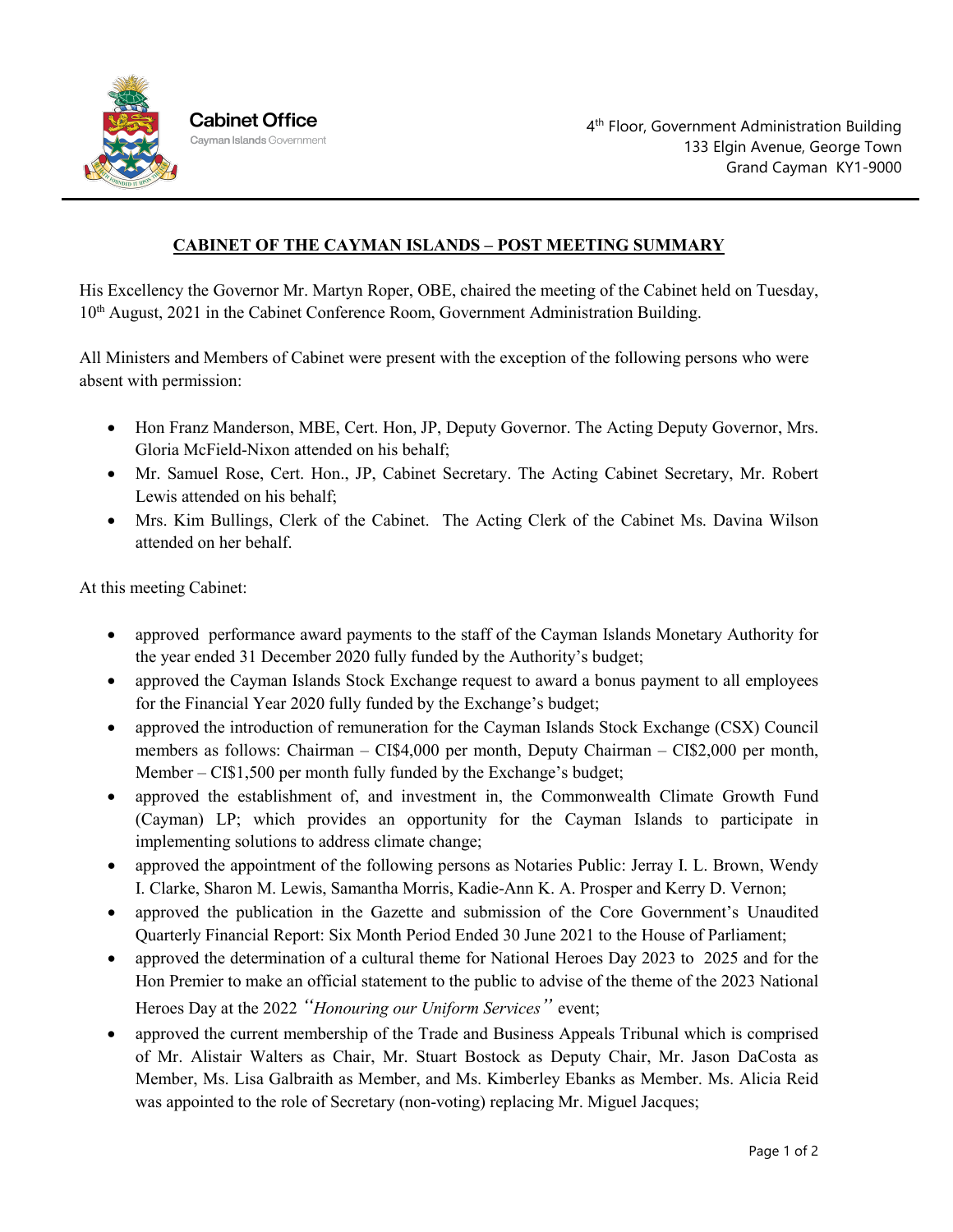

## **CABINET OF THE CAYMAN ISLANDS – POST MEETING SUMMARY**

His Excellency the Governor Mr. Martyn Roper, OBE, chaired the meeting of the Cabinet held on Tuesday, 10th August, 2021 in the Cabinet Conference Room, Government Administration Building.

All Ministers and Members of Cabinet were present with the exception of the following persons who were absent with permission:

- Hon Franz Manderson, MBE, Cert. Hon, JP, Deputy Governor. The Acting Deputy Governor, Mrs. Gloria McField-Nixon attended on his behalf;
- Mr. Samuel Rose, Cert. Hon., JP, Cabinet Secretary. The Acting Cabinet Secretary, Mr. Robert Lewis attended on his behalf;
- Mrs. Kim Bullings, Clerk of the Cabinet. The Acting Clerk of the Cabinet Ms. Davina Wilson attended on her behalf.

At this meeting Cabinet:

- approved performance award payments to the staff of the Cayman Islands Monetary Authority for the year ended 31 December 2020 fully funded by the Authority's budget;
- approved the Cayman Islands Stock Exchange request to award a bonus payment to all employees for the Financial Year 2020 fully funded by the Exchange's budget;
- approved the introduction of remuneration for the Cayman Islands Stock Exchange (CSX) Council members as follows: Chairman – CI\$4,000 per month, Deputy Chairman – CI\$2,000 per month, Member – CI\$1,500 per month fully funded by the Exchange's budget;
- approved the establishment of, and investment in, the Commonwealth Climate Growth Fund (Cayman) LP; which provides an opportunity for the Cayman Islands to participate in implementing solutions to address climate change;
- approved the appointment of the following persons as Notaries Public: Jerray I. L. Brown, Wendy I. Clarke, Sharon M. Lewis, Samantha Morris, Kadie-Ann K. A. Prosper and Kerry D. Vernon;
- approved the publication in the Gazette and submission of the Core Government's Unaudited Quarterly Financial Report: Six Month Period Ended 30 June 2021 to the House of Parliament;
- approved the determination of a cultural theme for National Heroes Day 2023 to 2025 and for the Hon Premier to make an official statement to the public to advise of the theme of the 2023 National Heroes Day at the 2022 *"Honouring our Uniform Services"* event;
- approved the current membership of the Trade and Business Appeals Tribunal which is comprised of Mr. Alistair Walters as Chair, Mr. Stuart Bostock as Deputy Chair, Mr. Jason DaCosta as Member, Ms. Lisa Galbraith as Member, and Ms. Kimberley Ebanks as Member. Ms. Alicia Reid was appointed to the role of Secretary (non-voting) replacing Mr. Miguel Jacques;